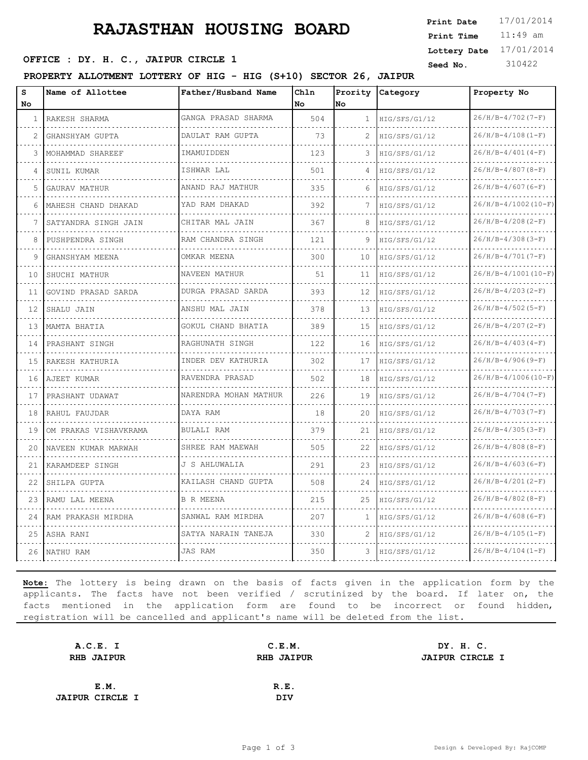# **RAJASTHAN HOUSING BOARD**

**OFFICE : DY. H. C., JAIPUR CIRCLE 1** Seed No. 310422

**PROPERTY ALLOTMENT LOTTERY OF HIG - HIG (S+10) SECTOR 26, JAIPUR**

| s<br>No | Name of Allottee      | Father/Husband Name        | Chln<br><b>No</b> | Prority<br>No  | Category      | Property No           |
|---------|-----------------------|----------------------------|-------------------|----------------|---------------|-----------------------|
| 1       | RAKESH SHARMA         | GANGA PRASAD SHARMA        | 504               | $\mathbf{1}$   | HIG/SFS/G1/12 | $26/H/B-4/702(T-F)$   |
| 2       | GHANSHYAM GUPTA       | DAULAT RAM GUPTA           | 73                | $\overline{2}$ | HIG/SES/G1/12 | $26/H/B-4/108(I-F)$   |
| 3       | MOHAMMAD SHAREEF      | IMAMUIDDEN                 | 123               | 3              | HIG/SFS/G1/12 | $26/H/B-4/401(4-F)$   |
| 4       | SUNIL KUMAR           | ISHWAR LAL                 | 501               | 4              | HIG/SFS/G1/12 | $26/H/B-4/807(8-F)$   |
|         |                       | ANAND RAJ MATHUR           | 335               | 6              | HIG/SFS/G1/12 | $26/H/B-4/607(6-F)$   |
| 5       | GAURAV MATHUR         |                            |                   |                |               | 26/H/B-4/1002(10-F)   |
| 6       | MAHESH CHAND DHAKAD   | YAD RAM DHAKAD             | 392               | 7              | HIG/SFS/G1/12 |                       |
|         | SATYANDRA SINGH JAIN  | CHITAR MAL JAIN            | 367               | 8              | HIG/SFS/G1/12 | $26/H/B-4/208 (2-F)$  |
| 8       | PUSHPENDRA SINGH      | RAM CHANDRA SINGH          | 121               | 9              | HIG/SFS/G1/12 | $26/H/B-4/308 (3-F)$  |
| 9       | GHANSHYAM MEENA       | OMKAR MEENA                | 300               | 10             | HIG/SFS/G1/12 | $26/H/B-4/701(T-F)$   |
| 10      | SHUCHI MATHUR         | NAVEEN MATHUR<br>.         | 51                | 11             | HIG/SFS/G1/12 | $26/H/B-4/1001(10-F)$ |
| 11      | GOVIND PRASAD SARDA   | DURGA PRASAD SARDA         | 393               | 12             | HIG/SFS/G1/12 | $26/H/B-4/203(2-F)$   |
| 12      | SHALU JAIN            | ANSHU MAL JAIN             | 378               | 13             | HIG/SFS/G1/12 | $26/H/B-4/502(S-F)$   |
| 13      | MAMTA BHATIA          | GOKUL CHAND BHATIA         | 389               | 15             | HIG/SFS/G1/12 | $26/H/B-4/207(2-F)$   |
| 14      | PRASHANT SINGH        | RAGHUNATH SINGH            | 122               | 16             | HIG/SFS/G1/12 | $26/H/B-4/403(4-F)$   |
| 15      | RAKESH KATHURIA       | INDER DEV KATHURIA         | 302               | 17             | HIG/SFS/G1/12 | $26/H/B-4/906(9-F)$   |
| 16      | AJEET KUMAR           | RAVENDRA PRASAD            | 502               | 18             | HIG/SFS/G1/12 | $26/H/B-4/1006(10-F)$ |
| 17      | PRASHANT UDAWAT       | .<br>NARENDRA MOHAN MATHUR | 226               | 19             | HIG/SFS/G1/12 | $26/H/B-4/704(T-F)$   |
| 18      | RAHUL FAUJDAR         | DAYA RAM                   | 18                | 20             | HIG/SFS/G1/12 | $26/H/B-4/703(T-F)$   |
| 19      | OM PRAKAS VISHAVKRAMA | <b>BULALI RAM</b>          | 379               | 21             | HIG/SFS/G1/12 | $26/H/B-4/305(S-F)$   |
| 20      | NAVEEN KUMAR MARWAH   | SHREE RAM MAEWAH           | 505               | 22             | HIG/SFS/G1/12 | $26/H/B-4/808(B-F)$   |
| 21      | KARAMDEEP SINGH       | J S AHLUWALIA              | 291               | 23             | HIG/SFS/G1/12 | $26/H/B-4/603(G-F)$   |
| 22      | SHILPA GUPTA          | KAILASH CHAND GUPTA        | 508               | 24             | HIG/SFS/G1/12 | $26/H/B-4/201(2-F)$   |
| 23      | RAMU LAL MEENA        | <b>B R MEENA</b>           | 215               | 25             | HIG/SFS/G1/12 | $26/H/B-4/802(B-F)$   |
| 24      | RAM PRAKASH MIRDHA    | SANWAL RAM MIRDHA          | 207               | 1              | HIG/SFS/G1/12 | $26/H/B-4/608(G-F)$   |
| 25      | ASHA RANI             | SATYA NARAIN TANEJA        | 330               | 2              | HIG/SFS/G1/12 | $26/H/B-4/105(I-F)$   |
| 26      | NATHU RAM             | JAS RAM                    | 350               | 3              | HIG/SFS/G1/12 | $26/H/B-4/104(I-F)$   |

**Note:** The lottery is being drawn on the basis of facts given in the application form by the applicants. The facts have not been verified / scrutinized by the board. If later on, the facts mentioned in the application form are found to be incorrect or found hidden, registration will be cancelled and applicant's name will be deleted from the list.

| A.C.E. I               | C.E.M.            | DY. H. C.              |  |
|------------------------|-------------------|------------------------|--|
| <b>RHB JAIPUR</b>      | <b>RHB JAIPUR</b> | <b>JAIPUR CIRCLE I</b> |  |
|                        |                   |                        |  |
| E.M.                   | R.E.              |                        |  |
| <b>JAIPUR CIRCLE I</b> | <b>DIV</b>        |                        |  |

11:49 am **Print Time Print Date Lottery Date** 17/01/2014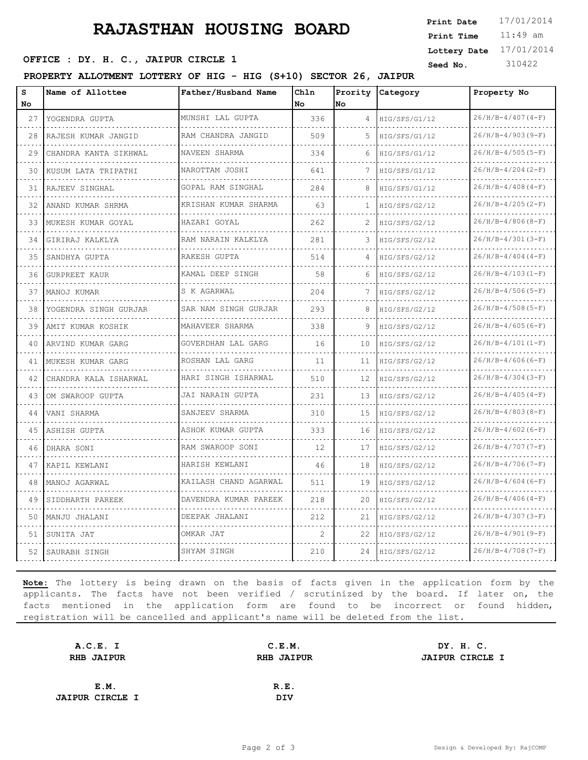# **RAJASTHAN HOUSING BOARD**

**OFFICE : DY. H. C., JAIPUR CIRCLE 1** Seed No. 310422

### **PROPERTY ALLOTMENT LOTTERY OF HIG - HIG (S+10) SECTOR 26, JAIPUR**

| S<br>No | Name of Allottee                                      | Father/Husband Name        | Ch1n<br>No. | No | Prority Category    | Property No         |
|---------|-------------------------------------------------------|----------------------------|-------------|----|---------------------|---------------------|
| 27      | YOGENDRA GUPTA                                        | MUNSHI LAL GUPTA           | 336         |    | $4$   HIG/SFS/G1/12 | $26/H/B-4/407(4-F)$ |
| 28      | RAJESH KUMAR JANGID                                   | RAM CHANDRA JANGID         | 509         | 5  | HIG/SFS/G1/12       | 26/H/B-4/903(9-F)   |
| 29      | .<br>CHANDRA KANTA SIKHWAL                            | .<br>NAVEEN SHARMA         | 334         | 6  | HIG/SFS/G1/12       | 26/H/B-4/505(5-F)   |
| 30      | de de decembre de la provincia<br>KUSUM LATA TRIPATHI | NAROTTAM JOSHI             | 641         | 7  | HIG/SFS/G1/12       | $26/H/B-4/204(2-F)$ |
| 31      | RAJEEV SINGHAL                                        | GOPAL RAM SINGHAL          | 284         | 8  | HIG/SFS/G1/12       | $26/H/B-4/408(4-F)$ |
| 32      | ANAND KUMAR SHRMA                                     | .<br>KRISHAN KUMAR SHARMA  | 63          | 1  | HIG/SFS/G2/12       | 26/H/B-4/205(2-F)   |
| 33      | MUKESH KUMAR GOYAL                                    | .<br>HAZARI GOYAL          | 262         | 2  | HIG/SFS/G2/12       | 26/H/B-4/806(8-F)   |
| 34      | GIRIRAJ KALKLYA                                       | RAM NARAIN KALKLYA         | 281         | 3  | HIG/SFS/G2/12       | 26/H/B-4/301(3-F)   |
| 35      | SANDHYA GUPTA                                         | RAKESH GUPTA               | 514         | 4  | HIG/SFS/G2/12       | $26/H/B-4/404(4-F)$ |
| 36      | GURPREET KAUR                                         | KAMAL DEEP SINGH           | 58          | 6  | HIG/SFS/G2/12       | 26/H/B-4/103(1-F)   |
| 37      | MANOJ KUMAR                                           | S K AGARWAL<br>.           | 204         | 7  | HIG/SFS/G2/12       | $26/H/B-4/506(S-F)$ |
| 38      | YOGENDRA SINGH GURJAR                                 | SAR NAM SINGH GURJAR       | 293         | 8  | HIG/SFS/G2/12       | 26/H/B-4/508(5-F)   |
| 39      | AMIT KUMAR KOSHIK                                     | MAHAVEER SHARMA            | 338         | 9  | HIG/SFS/G2/12       | $26/H/B-4/605(G-F)$ |
| 40      | .<br>ARVIND KUMAR GARG                                | .<br>GOVERDHAN LAL GARG    | 16          | 10 | HIG/SFS/G2/12       | 26/H/B-4/101(1-F)   |
| 41      | MUKESH KUMAR GARG                                     | ROSHAN LAL GARG            | 11          | 11 | HIG/SFS/G2/12       | $26/H/B-4/606(G-F)$ |
| 42      | CHANDRA KALA ISHARWAL                                 | HARI SINGH ISHARWAL        | 510         | 12 | HIG/SFS/G2/12       | 26/H/B-4/304(3-F)   |
| 43      | OM SWAROOP GUPTA                                      | .<br>JAI NARAIN GUPTA      | 231         | 13 | HIG/SFS/G2/12       | 26/H/B-4/405(4-F)   |
| 44      | VANI SHARMA                                           | SANJEEV SHARMA             | 310         | 15 | HIG/SFS/G2/12       | 26/H/B-4/803(8-F)   |
| 45      | ASHISH GUPTA                                          | ASHOK KUMAR GUPTA          | 333         | 16 | HIG/SFS/G2/12       | 26/H/B-4/602(6-F)   |
| 46      | DHARA SONI                                            | RAM SWAROOP SONI           | 12.         | 17 | HIG/SFS/G2/12       | $26/H/B-4/707(T-F)$ |
| 47      | KAPIL KEWLANI                                         | HARISH KEWLANI             | 46          | 18 | HIG/SFS/G2/12       | $26/H/B-4/706(T-F)$ |
| 48      | MANOJ AGARWAL                                         | KAILASH CHAND AGARWAL<br>. | 511         | 19 | HIG/SFS/G2/12       | 26/H/B-4/604(6-F)   |
| 49      | SIDDHARTH PAREEK                                      | DAVENDRA KUMAR PAREEK      | 218         | 20 | HIG/SFS/G2/12       | $26/H/B-4/406(4-F)$ |
| 50      | MANJU JHALANI                                         | DEEPAK JHALANI             | 212         | 21 | HIG/SFS/G2/12       | $26/H/B-4/307(3-F)$ |
| 51      | SUNITA JAT                                            | OMKAR JAT                  | 2           | 22 | HIG/SFS/G2/12       | 26/H/B-4/901(9-F)   |
| 52      | SAURABH SINGH                                         | SHYAM SINGH                | 210         | 24 | HIG/SFS/G2/12       | $26/H/B-4/708(T-F)$ |

**Note:** The lottery is being drawn on the basis of facts given in the application form by the applicants. The facts have not been verified / scrutinized by the board. If later on, the facts mentioned in the application form are found to be incorrect or found hidden, registration will be cancelled and applicant's name will be deleted from the list.

| A.C.E. I               | C.E.M.            | DY. H. C.              |
|------------------------|-------------------|------------------------|
| <b>RHB JAIPUR</b>      | <b>RHB JAIPUR</b> | <b>JAIPUR CIRCLE I</b> |
|                        |                   |                        |
| E.M.                   | R.E.              |                        |
| <b>JAIPUR CIRCLE I</b> | DIV               |                        |

11:49 am **Print Date Print Time Lottery Date** 17/01/2014